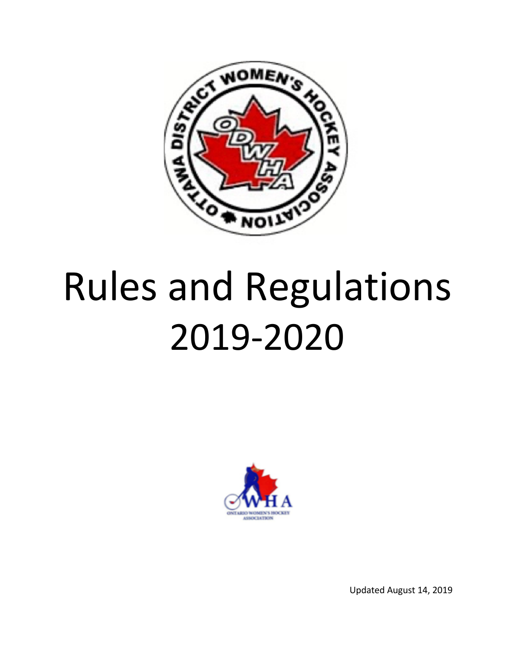

# Rules and Regulations 2019-2020



Updated August 14, 2019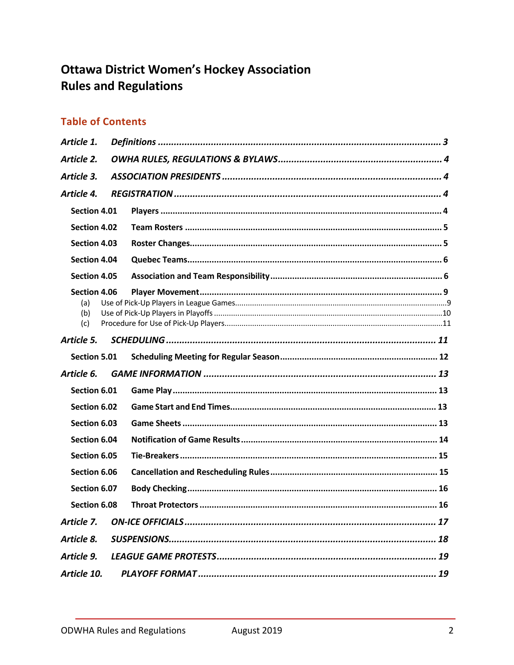# **Ottawa District Women's Hockey Association Rules and Regulations**

### **Table of Contents**

| Article 1.                        |  |  |
|-----------------------------------|--|--|
| Article 2.                        |  |  |
| Article 3.                        |  |  |
| Article 4.                        |  |  |
| Section 4.01                      |  |  |
| Section 4.02                      |  |  |
| Section 4.03                      |  |  |
| Section 4.04                      |  |  |
| Section 4.05                      |  |  |
| Section 4.06<br>(a)<br>(b)<br>(c) |  |  |
| Article 5.                        |  |  |
| Section 5.01                      |  |  |
| Article 6.                        |  |  |
| Section 6.01                      |  |  |
| Section 6.02                      |  |  |
| Section 6.03                      |  |  |
| Section 6.04                      |  |  |
| Section 6.05                      |  |  |
| Section 6.06                      |  |  |
| Section 6.07                      |  |  |
| Section 6.08                      |  |  |
| Article 7.                        |  |  |
| Article 8.                        |  |  |
| Article 9.                        |  |  |
| Article 10.                       |  |  |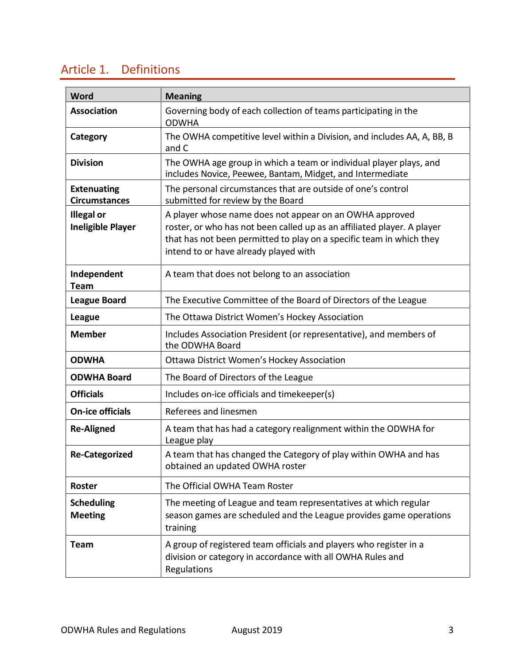# Article 1. Definitions

| <b>Word</b>                                   | <b>Meaning</b>                                                                                                                                                                                                                                      |
|-----------------------------------------------|-----------------------------------------------------------------------------------------------------------------------------------------------------------------------------------------------------------------------------------------------------|
| <b>Association</b>                            | Governing body of each collection of teams participating in the<br><b>ODWHA</b>                                                                                                                                                                     |
| Category                                      | The OWHA competitive level within a Division, and includes AA, A, BB, B<br>and C                                                                                                                                                                    |
| <b>Division</b>                               | The OWHA age group in which a team or individual player plays, and<br>includes Novice, Peewee, Bantam, Midget, and Intermediate                                                                                                                     |
| <b>Extenuating</b><br><b>Circumstances</b>    | The personal circumstances that are outside of one's control<br>submitted for review by the Board                                                                                                                                                   |
| <b>Illegal or</b><br><b>Ineligible Player</b> | A player whose name does not appear on an OWHA approved<br>roster, or who has not been called up as an affiliated player. A player<br>that has not been permitted to play on a specific team in which they<br>intend to or have already played with |
| Independent<br><b>Team</b>                    | A team that does not belong to an association                                                                                                                                                                                                       |
| <b>League Board</b>                           | The Executive Committee of the Board of Directors of the League                                                                                                                                                                                     |
| <b>League</b>                                 | The Ottawa District Women's Hockey Association                                                                                                                                                                                                      |
| <b>Member</b>                                 | Includes Association President (or representative), and members of<br>the ODWHA Board                                                                                                                                                               |
| <b>ODWHA</b>                                  | Ottawa District Women's Hockey Association                                                                                                                                                                                                          |
| <b>ODWHA Board</b>                            | The Board of Directors of the League                                                                                                                                                                                                                |
| <b>Officials</b>                              | Includes on-ice officials and timekeeper(s)                                                                                                                                                                                                         |
| <b>On-ice officials</b>                       | Referees and linesmen                                                                                                                                                                                                                               |
| <b>Re-Aligned</b>                             | A team that has had a category realignment within the ODWHA for<br>League play                                                                                                                                                                      |
| <b>Re-Categorized</b>                         | A team that has changed the Category of play within OWHA and has<br>obtained an updated OWHA roster                                                                                                                                                 |
| <b>Roster</b>                                 | The Official OWHA Team Roster                                                                                                                                                                                                                       |
| <b>Scheduling</b><br><b>Meeting</b>           | The meeting of League and team representatives at which regular<br>season games are scheduled and the League provides game operations<br>training                                                                                                   |
| <b>Team</b>                                   | A group of registered team officials and players who register in a<br>division or category in accordance with all OWHA Rules and<br>Regulations                                                                                                     |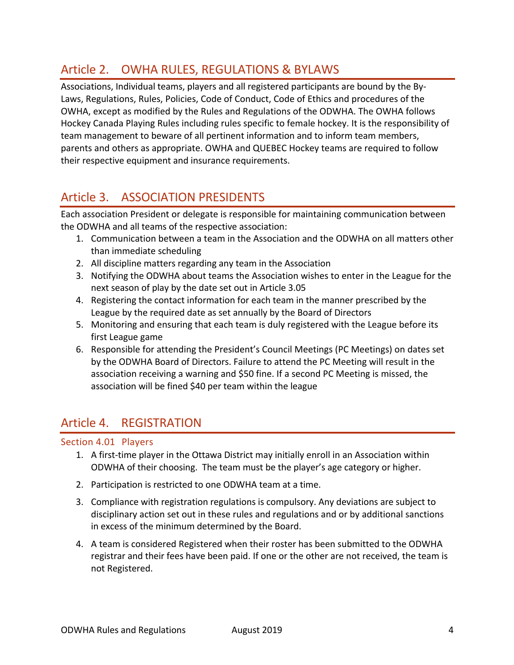# Article 2. OWHA RULES, REGULATIONS & BYLAWS

Associations, Individual teams, players and all registered participants are bound by the By-Laws, Regulations, Rules, Policies, Code of Conduct, Code of Ethics and procedures of the OWHA, except as modified by the Rules and Regulations of the ODWHA. The OWHA follows Hockey Canada Playing Rules including rules specific to female hockey. It is the responsibility of team management to beware of all pertinent information and to inform team members, parents and others as appropriate. OWHA and QUEBEC Hockey teams are required to follow their respective equipment and insurance requirements.

## Article 3. ASSOCIATION PRESIDENTS

Each association President or delegate is responsible for maintaining communication between the ODWHA and all teams of the respective association:

- 1. Communication between a team in the Association and the ODWHA on all matters other than immediate scheduling
- 2. All discipline matters regarding any team in the Association
- 3. Notifying the ODWHA about teams the Association wishes to enter in the League for the next season of play by the date set out in Article 3.05
- 4. Registering the contact information for each team in the manner prescribed by the League by the required date as set annually by the Board of Directors
- 5. Monitoring and ensuring that each team is duly registered with the League before its first League game
- 6. Responsible for attending the President's Council Meetings (PC Meetings) on dates set by the ODWHA Board of Directors. Failure to attend the PC Meeting will result in the association receiving a warning and \$50 fine. If a second PC Meeting is missed, the association will be fined \$40 per team within the league

## Article 4. REGISTRATION

#### Section 4.01 Players

- 1. A first-time player in the Ottawa District may initially enroll in an Association within ODWHA of their choosing. The team must be the player's age category or higher.
- 2. Participation is restricted to one ODWHA team at a time.
- 3. Compliance with registration regulations is compulsory. Any deviations are subject to disciplinary action set out in these rules and regulations and or by additional sanctions in excess of the minimum determined by the Board.
- 4. A team is considered Registered when their roster has been submitted to the ODWHA registrar and their fees have been paid. If one or the other are not received, the team is not Registered.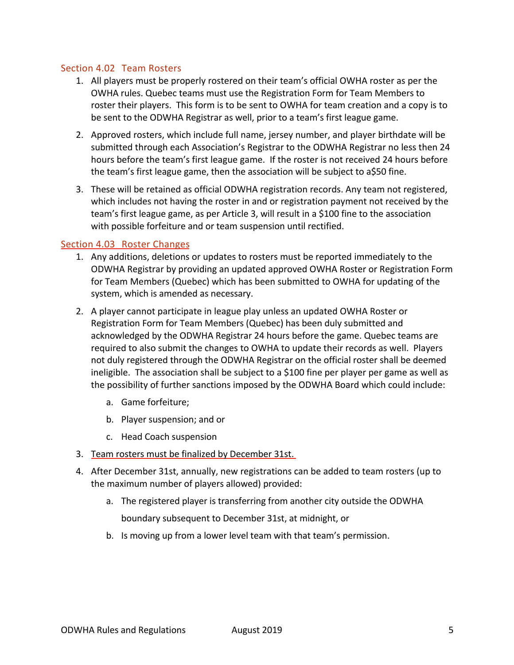#### Section 4.02 Team Rosters

- 1. All players must be properly rostered on their team's official OWHA roster as per the OWHA rules. Quebec teams must use the Registration Form for Team Members to roster their players. This form is to be sent to OWHA for team creation and a copy is to be sent to the ODWHA Registrar as well, prior to a team's first league game.
- 2. Approved rosters, which include full name, jersey number, and player birthdate will be submitted through each Association's Registrar to the ODWHA Registrar no less then 24 hours before the team's first league game. If the roster is not received 24 hours before the team's first league game, then the association will be subject to a\$50 fine.
- 3. These will be retained as official ODWHA registration records. Any team not registered, which includes not having the roster in and or registration payment not received by the team's first league game, as per Article 3, will result in a \$100 fine to the association with possible forfeiture and or team suspension until rectified.

#### Section 4.03 Roster Changes

- 1. Any additions, deletions or updates to rosters must be reported immediately to the ODWHA Registrar by providing an updated approved OWHA Roster or Registration Form for Team Members (Quebec) which has been submitted to OWHA for updating of the system, which is amended as necessary.
- 2. A player cannot participate in league play unless an updated OWHA Roster or Registration Form for Team Members (Quebec) has been duly submitted and acknowledged by the ODWHA Registrar 24 hours before the game. Quebec teams are required to also submit the changes to OWHA to update their records as well. Players not duly registered through the ODWHA Registrar on the official roster shall be deemed ineligible. The association shall be subject to a \$100 fine per player per game as well as the possibility of further sanctions imposed by the ODWHA Board which could include:
	- a. Game forfeiture;
	- b. Player suspension; and or
	- c. Head Coach suspension
- 3. Team rosters must be finalized by December 31st.
- 4. After December 31st, annually, new registrations can be added to team rosters (up to the maximum number of players allowed) provided:
	- a. The registered player is transferring from another city outside the ODWHA boundary subsequent to December 31st, at midnight, or
	- b. Is moving up from a lower level team with that team's permission.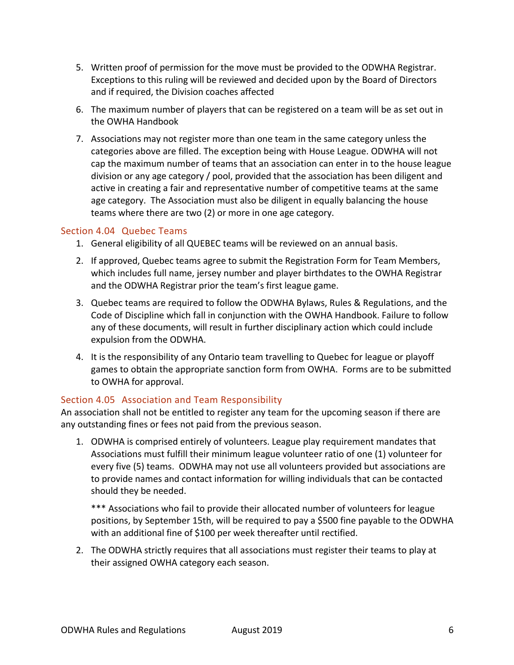- 5. Written proof of permission for the move must be provided to the ODWHA Registrar. Exceptions to this ruling will be reviewed and decided upon by the Board of Directors and if required, the Division coaches affected
- 6. The maximum number of players that can be registered on a team will be as set out in the OWHA Handbook
- 7. Associations may not register more than one team in the same category unless the categories above are filled. The exception being with House League. ODWHA will not cap the maximum number of teams that an association can enter in to the house league division or any age category / pool, provided that the association has been diligent and active in creating a fair and representative number of competitive teams at the same age category. The Association must also be diligent in equally balancing the house teams where there are two (2) or more in one age category.

#### Section 4.04 Quebec Teams

- 1. General eligibility of all QUEBEC teams will be reviewed on an annual basis.
- 2. If approved, Quebec teams agree to submit the Registration Form for Team Members, which includes full name, jersey number and player birthdates to the OWHA Registrar and the ODWHA Registrar prior the team's first league game.
- 3. Quebec teams are required to follow the ODWHA Bylaws, Rules & Regulations, and the Code of Discipline which fall in conjunction with the OWHA Handbook. Failure to follow any of these documents, will result in further disciplinary action which could include expulsion from the ODWHA.
- 4. It is the responsibility of any Ontario team travelling to Quebec for league or playoff games to obtain the appropriate sanction form from OWHA. Forms are to be submitted to OWHA for approval.

#### Section 4.05 Association and Team Responsibility

An association shall not be entitled to register any team for the upcoming season if there are any outstanding fines or fees not paid from the previous season.

1. ODWHA is comprised entirely of volunteers. League play requirement mandates that Associations must fulfill their minimum league volunteer ratio of one (1) volunteer for every five (5) teams. ODWHA may not use all volunteers provided but associations are to provide names and contact information for willing individuals that can be contacted should they be needed.

\*\*\* Associations who fail to provide their allocated number of volunteers for league positions, by September 15th, will be required to pay a \$500 fine payable to the ODWHA with an additional fine of \$100 per week thereafter until rectified.

2. The ODWHA strictly requires that all associations must register their teams to play at their assigned OWHA category each season.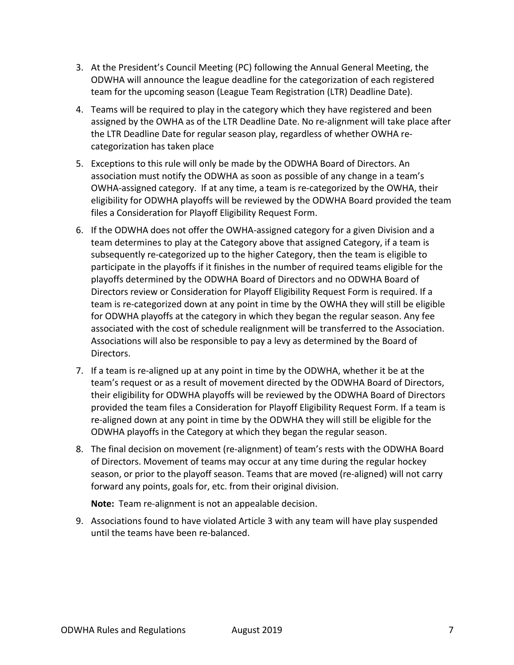- 3. At the President's Council Meeting (PC) following the Annual General Meeting, the ODWHA will announce the league deadline for the categorization of each registered team for the upcoming season (League Team Registration (LTR) Deadline Date).
- 4. Teams will be required to play in the category which they have registered and been assigned by the OWHA as of the LTR Deadline Date. No re-alignment will take place after the LTR Deadline Date for regular season play, regardless of whether OWHA recategorization has taken place
- 5. Exceptions to this rule will only be made by the ODWHA Board of Directors. An association must notify the ODWHA as soon as possible of any change in a team's OWHA-assigned category. If at any time, a team is re-categorized by the OWHA, their eligibility for ODWHA playoffs will be reviewed by the ODWHA Board provided the team files a Consideration for Playoff Eligibility Request Form.
- 6. If the ODWHA does not offer the OWHA-assigned category for a given Division and a team determines to play at the Category above that assigned Category, if a team is subsequently re-categorized up to the higher Category, then the team is eligible to participate in the playoffs if it finishes in the number of required teams eligible for the playoffs determined by the ODWHA Board of Directors and no ODWHA Board of Directors review or Consideration for Playoff Eligibility Request Form is required. If a team is re-categorized down at any point in time by the OWHA they will still be eligible for ODWHA playoffs at the category in which they began the regular season. Any fee associated with the cost of schedule realignment will be transferred to the Association. Associations will also be responsible to pay a levy as determined by the Board of Directors.
- 7. If a team is re-aligned up at any point in time by the ODWHA, whether it be at the team's request or as a result of movement directed by the ODWHA Board of Directors, their eligibility for ODWHA playoffs will be reviewed by the ODWHA Board of Directors provided the team files a Consideration for Playoff Eligibility Request Form. If a team is re-aligned down at any point in time by the ODWHA they will still be eligible for the ODWHA playoffs in the Category at which they began the regular season.
- 8. The final decision on movement (re-alignment) of team's rests with the ODWHA Board of Directors. Movement of teams may occur at any time during the regular hockey season, or prior to the playoff season. Teams that are moved (re-aligned) will not carry forward any points, goals for, etc. from their original division.

**Note:** Team re-alignment is not an appealable decision.

9. Associations found to have violated Article 3 with any team will have play suspended until the teams have been re-balanced.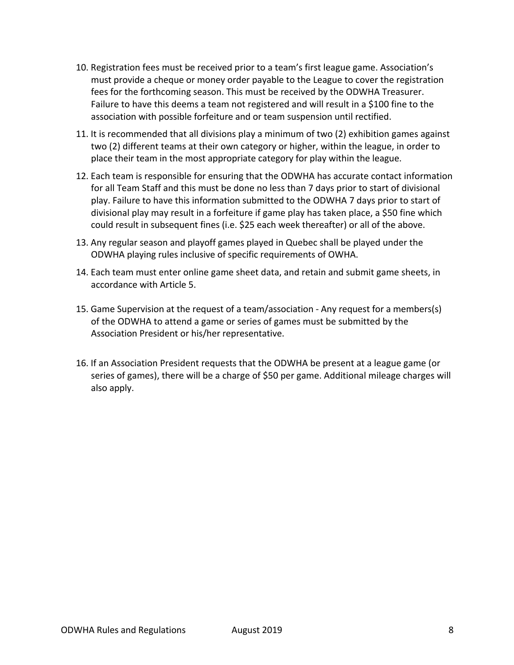- 10. Registration fees must be received prior to a team's first league game. Association's must provide a cheque or money order payable to the League to cover the registration fees for the forthcoming season. This must be received by the ODWHA Treasurer. Failure to have this deems a team not registered and will result in a \$100 fine to the association with possible forfeiture and or team suspension until rectified.
- 11. It is recommended that all divisions play a minimum of two (2) exhibition games against two (2) different teams at their own category or higher, within the league, in order to place their team in the most appropriate category for play within the league.
- 12. Each team is responsible for ensuring that the ODWHA has accurate contact information for all Team Staff and this must be done no less than 7 days prior to start of divisional play. Failure to have this information submitted to the ODWHA 7 days prior to start of divisional play may result in a forfeiture if game play has taken place, a \$50 fine which could result in subsequent fines (i.e. \$25 each week thereafter) or all of the above.
- 13. Any regular season and playoff games played in Quebec shall be played under the ODWHA playing rules inclusive of specific requirements of OWHA.
- 14. Each team must enter online game sheet data, and retain and submit game sheets, in accordance with Article 5.
- 15. Game Supervision at the request of a team/association Any request for a members(s) of the ODWHA to attend a game or series of games must be submitted by the Association President or his/her representative.
- 16. If an Association President requests that the ODWHA be present at a league game (or series of games), there will be a charge of \$50 per game. Additional mileage charges will also apply.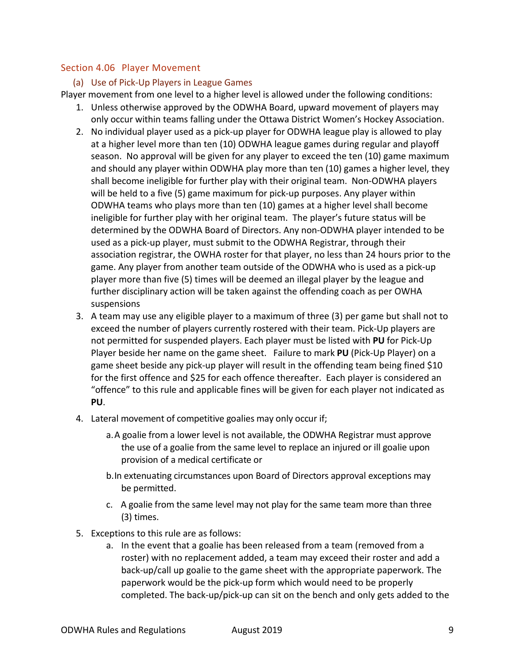#### Section 4.06 Player Movement

#### (a) Use of Pick-Up Players in League Games

Player movement from one level to a higher level is allowed under the following conditions:

- 1. Unless otherwise approved by the ODWHA Board, upward movement of players may only occur within teams falling under the Ottawa District Women's Hockey Association.
- 2. No individual player used as a pick-up player for ODWHA league play is allowed to play at a higher level more than ten (10) ODWHA league games during regular and playoff season. No approval will be given for any player to exceed the ten (10) game maximum and should any player within ODWHA play more than ten (10) games a higher level, they shall become ineligible for further play with their original team. Non-ODWHA players will be held to a five (5) game maximum for pick-up purposes. Any player within ODWHA teams who plays more than ten (10) games at a higher level shall become ineligible for further play with her original team. The player's future status will be determined by the ODWHA Board of Directors. Any non-ODWHA player intended to be used as a pick-up player, must submit to the ODWHA Registrar, through their association registrar, the OWHA roster for that player, no less than 24 hours prior to the game. Any player from another team outside of the ODWHA who is used as a pick-up player more than five (5) times will be deemed an illegal player by the league and further disciplinary action will be taken against the offending coach as per OWHA suspensions
- 3. A team may use any eligible player to a maximum of three (3) per game but shall not to exceed the number of players currently rostered with their team. Pick-Up players are not permitted for suspended players. Each player must be listed with **PU** for Pick-Up Player beside her name on the game sheet. Failure to mark **PU** (Pick-Up Player) on a game sheet beside any pick-up player will result in the offending team being fined \$10 for the first offence and \$25 for each offence thereafter. Each player is considered an "offence" to this rule and applicable fines will be given for each player not indicated as **PU**.
- 4. Lateral movement of competitive goalies may only occur if;
	- a.A goalie from a lower level is not available, the ODWHA Registrar must approve the use of a goalie from the same level to replace an injured or ill goalie upon provision of a medical certificate or
	- b.In extenuating circumstances upon Board of Directors approval exceptions may be permitted.
	- c. A goalie from the same level may not play for the same team more than three (3) times.
- 5. Exceptions to this rule are as follows:
	- a. In the event that a goalie has been released from a team (removed from a roster) with no replacement added, a team may exceed their roster and add a back-up/call up goalie to the game sheet with the appropriate paperwork. The paperwork would be the pick-up form which would need to be properly completed. The back-up/pick-up can sit on the bench and only gets added to the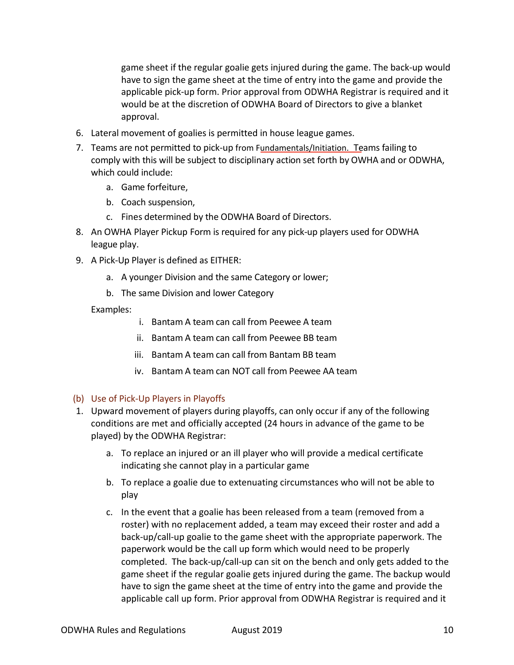game sheet if the regular goalie gets injured during the game. The back-up would have to sign the game sheet at the time of entry into the game and provide the applicable pick-up form. Prior approval from ODWHA Registrar is required and it would be at the discretion of ODWHA Board of Directors to give a blanket approval.

- 6. Lateral movement of goalies is permitted in house league games.
- 7. Teams are not permitted to pick-up from Fundamentals/Initiation. Teams failing to comply with this will be subject to disciplinary action set forth by OWHA and or ODWHA, which could include:
	- a. Game forfeiture,
	- b. Coach suspension,
	- c. Fines determined by the ODWHA Board of Directors.
- 8. An OWHA Player Pickup Form is required for any pick-up players used for ODWHA league play.
- 9. A Pick-Up Player is defined as EITHER:
	- a. A younger Division and the same Category or lower;
	- b. The same Division and lower Category

Examples:

- i. Bantam A team can call from Peewee A team
- ii. Bantam A team can call from Peewee BB team
- iii. Bantam A team can call from Bantam BB team
- iv. Bantam A team can NOT call from Peewee AA team

#### (b) Use of Pick-Up Players in Playoffs

- 1. Upward movement of players during playoffs, can only occur if any of the following conditions are met and officially accepted (24 hours in advance of the game to be played) by the ODWHA Registrar:
	- a. To replace an injured or an ill player who will provide a medical certificate indicating she cannot play in a particular game
	- b. To replace a goalie due to extenuating circumstances who will not be able to play
	- c. In the event that a goalie has been released from a team (removed from a roster) with no replacement added, a team may exceed their roster and add a back-up/call-up goalie to the game sheet with the appropriate paperwork. The paperwork would be the call up form which would need to be properly completed. The back-up/call-up can sit on the bench and only gets added to the game sheet if the regular goalie gets injured during the game. The backup would have to sign the game sheet at the time of entry into the game and provide the applicable call up form. Prior approval from ODWHA Registrar is required and it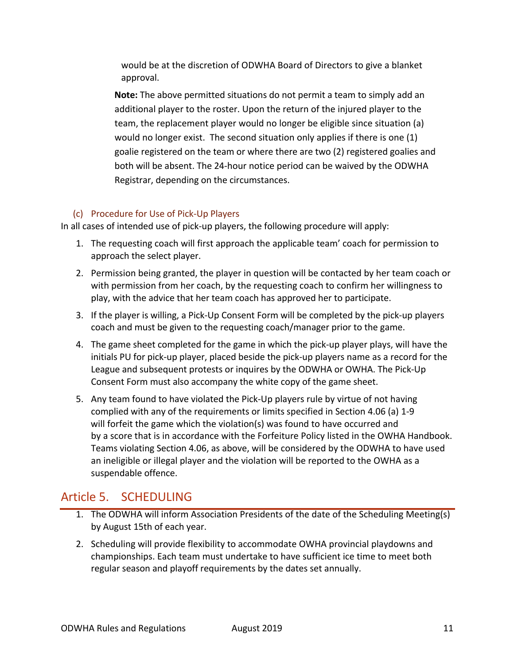would be at the discretion of ODWHA Board of Directors to give a blanket approval.

**Note:** The above permitted situations do not permit a team to simply add an additional player to the roster. Upon the return of the injured player to the team, the replacement player would no longer be eligible since situation (a) would no longer exist. The second situation only applies if there is one (1) goalie registered on the team or where there are two (2) registered goalies and both will be absent. The 24-hour notice period can be waived by the ODWHA Registrar, depending on the circumstances.

#### (c) Procedure for Use of Pick-Up Players

In all cases of intended use of pick-up players, the following procedure will apply:

- 1. The requesting coach will first approach the applicable team' coach for permission to approach the select player.
- 2. Permission being granted, the player in question will be contacted by her team coach or with permission from her coach, by the requesting coach to confirm her willingness to play, with the advice that her team coach has approved her to participate.
- 3. If the player is willing, a Pick-Up Consent Form will be completed by the pick-up players coach and must be given to the requesting coach/manager prior to the game.
- 4. The game sheet completed for the game in which the pick-up player plays, will have the initials PU for pick-up player, placed beside the pick-up players name as a record for the League and subsequent protests or inquires by the ODWHA or OWHA. The Pick-Up Consent Form must also accompany the white copy of the game sheet.
- 5. Any team found to have violated the Pick-Up players rule by virtue of not having complied with any of the requirements or limits specified in Section 4.06 (a) 1-9 will forfeit the game which the violation(s) was found to have occurred and by a score that is in accordance with the Forfeiture Policy listed in the OWHA Handbook. Teams violating Section 4.06, as above, will be considered by the ODWHA to have used an ineligible or illegal player and the violation will be reported to the OWHA as a suspendable offence.

## Article 5. SCHEDULING

- 1. The ODWHA will inform Association Presidents of the date of the Scheduling Meeting(s) by August 15th of each year.
- 2. Scheduling will provide flexibility to accommodate OWHA provincial playdowns and championships. Each team must undertake to have sufficient ice time to meet both regular season and playoff requirements by the dates set annually.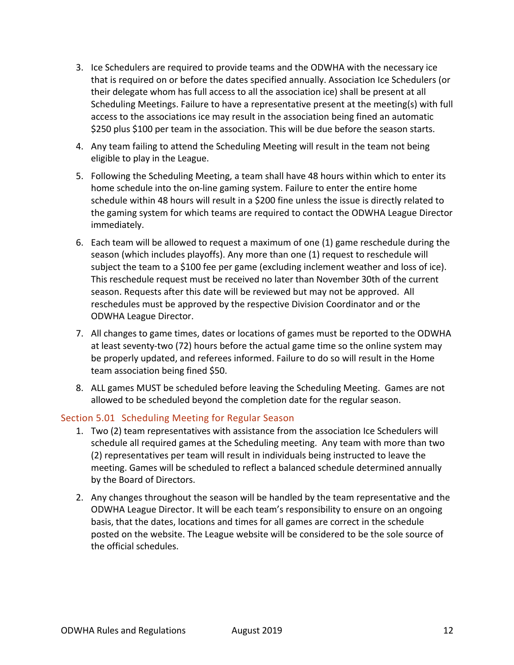- 3. Ice Schedulers are required to provide teams and the ODWHA with the necessary ice that is required on or before the dates specified annually. Association Ice Schedulers (or their delegate whom has full access to all the association ice) shall be present at all Scheduling Meetings. Failure to have a representative present at the meeting(s) with full access to the associations ice may result in the association being fined an automatic \$250 plus \$100 per team in the association. This will be due before the season starts.
- 4. Any team failing to attend the Scheduling Meeting will result in the team not being eligible to play in the League.
- 5. Following the Scheduling Meeting, a team shall have 48 hours within which to enter its home schedule into the on-line gaming system. Failure to enter the entire home schedule within 48 hours will result in a \$200 fine unless the issue is directly related to the gaming system for which teams are required to contact the ODWHA League Director immediately.
- 6. Each team will be allowed to request a maximum of one (1) game reschedule during the season (which includes playoffs). Any more than one (1) request to reschedule will subject the team to a \$100 fee per game (excluding inclement weather and loss of ice). This reschedule request must be received no later than November 30th of the current season. Requests after this date will be reviewed but may not be approved. All reschedules must be approved by the respective Division Coordinator and or the ODWHA League Director.
- 7. All changes to game times, dates or locations of games must be reported to the ODWHA at least seventy-two (72) hours before the actual game time so the online system may be properly updated, and referees informed. Failure to do so will result in the Home team association being fined \$50.
- 8. ALL games MUST be scheduled before leaving the Scheduling Meeting. Games are not allowed to be scheduled beyond the completion date for the regular season.

#### Section 5.01 Scheduling Meeting for Regular Season

- 1. Two (2) team representatives with assistance from the association Ice Schedulers will schedule all required games at the Scheduling meeting. Any team with more than two (2) representatives per team will result in individuals being instructed to leave the meeting. Games will be scheduled to reflect a balanced schedule determined annually by the Board of Directors.
- 2. Any changes throughout the season will be handled by the team representative and the ODWHA League Director. It will be each team's responsibility to ensure on an ongoing basis, that the dates, locations and times for all games are correct in the schedule posted on the website. The League website will be considered to be the sole source of the official schedules.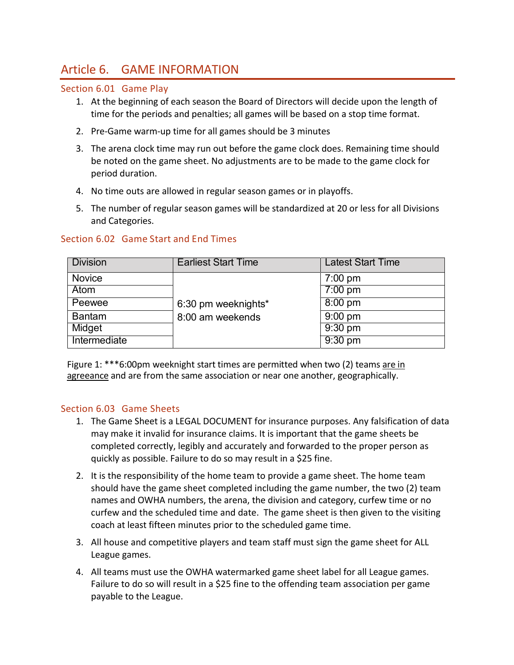## Article 6. GAME INFORMATION

#### Section 6.01 Game Play

- 1. At the beginning of each season the Board of Directors will decide upon the length of time for the periods and penalties; all games will be based on a stop time format.
- 2. Pre-Game warm-up time for all games should be 3 minutes
- 3. The arena clock time may run out before the game clock does. Remaining time should be noted on the game sheet. No adjustments are to be made to the game clock for period duration.
- 4. No time outs are allowed in regular season games or in playoffs.
- 5. The number of regular season games will be standardized at 20 or less for all Divisions and Categories.

| <b>Division</b> | <b>Earliest Start Time</b>              | <b>Latest Start Time</b> |
|-----------------|-----------------------------------------|--------------------------|
| <b>Novice</b>   |                                         | $7:00 \text{ pm}$        |
| Atom            | 6:30 pm weeknights*<br>8:00 am weekends | $7:00$ pm                |
| Peewee          |                                         | $8:00$ pm                |
| <b>Bantam</b>   |                                         | $9:00$ pm                |
| Midget          |                                         | $9:30$ pm                |
| Intermediate    |                                         | $9:30$ pm                |

#### Section 6.02 Game Start and End Times

Figure 1: \*\*\*6:00pm weeknight start times are permitted when two (2) teams are in agreeance and are from the same association or near one another, geographically.

#### Section 6.03 Game Sheets

- 1. The Game Sheet is a LEGAL DOCUMENT for insurance purposes. Any falsification of data may make it invalid for insurance claims. It is important that the game sheets be completed correctly, legibly and accurately and forwarded to the proper person as quickly as possible. Failure to do so may result in a \$25 fine.
- 2. It is the responsibility of the home team to provide a game sheet. The home team should have the game sheet completed including the game number, the two (2) team names and OWHA numbers, the arena, the division and category, curfew time or no curfew and the scheduled time and date. The game sheet is then given to the visiting coach at least fifteen minutes prior to the scheduled game time.
- 3. All house and competitive players and team staff must sign the game sheet for ALL League games.
- 4. All teams must use the OWHA watermarked game sheet label for all League games. Failure to do so will result in a \$25 fine to the offending team association per game payable to the League.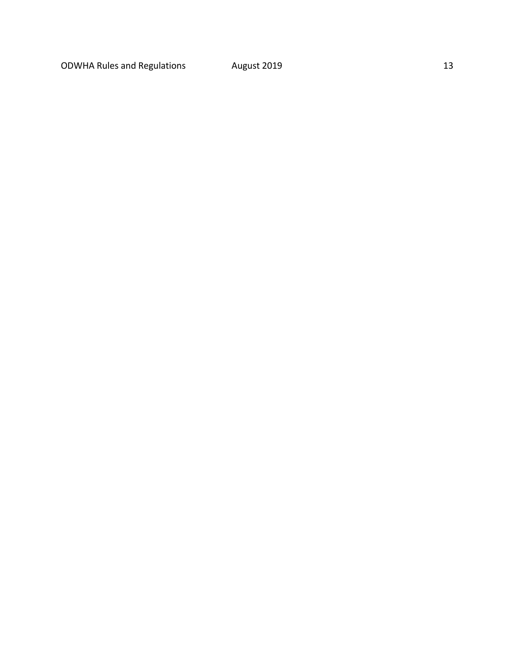ODWHA Rules and Regulations and August 2019 13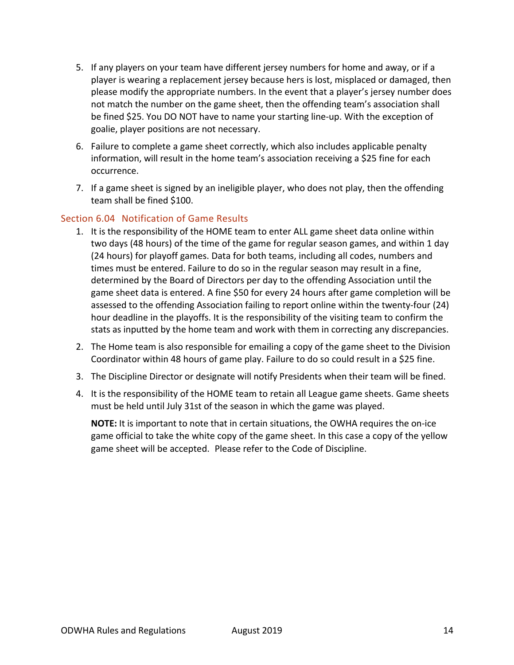- 5. If any players on your team have different jersey numbers for home and away, or if a player is wearing a replacement jersey because hers is lost, misplaced or damaged, then please modify the appropriate numbers. In the event that a player's jersey number does not match the number on the game sheet, then the offending team's association shall be fined \$25. You DO NOT have to name your starting line-up. With the exception of goalie, player positions are not necessary.
- 6. Failure to complete a game sheet correctly, which also includes applicable penalty information, will result in the home team's association receiving a \$25 fine for each occurrence.
- 7. If a game sheet is signed by an ineligible player, who does not play, then the offending team shall be fined \$100.

#### Section 6.04 Notification of Game Results

- 1. It is the responsibility of the HOME team to enter ALL game sheet data online within two days (48 hours) of the time of the game for regular season games, and within 1 day (24 hours) for playoff games. Data for both teams, including all codes, numbers and times must be entered. Failure to do so in the regular season may result in a fine, determined by the Board of Directors per day to the offending Association until the game sheet data is entered. A fine \$50 for every 24 hours after game completion will be assessed to the offending Association failing to report online within the twenty-four (24) hour deadline in the playoffs. It is the responsibility of the visiting team to confirm the stats as inputted by the home team and work with them in correcting any discrepancies.
- 2. The Home team is also responsible for emailing a copy of the game sheet to the Division Coordinator within 48 hours of game play. Failure to do so could result in a \$25 fine.
- 3. The Discipline Director or designate will notify Presidents when their team will be fined.
- 4. It is the responsibility of the HOME team to retain all League game sheets. Game sheets must be held until July 31st of the season in which the game was played.

**NOTE:** It is important to note that in certain situations, the OWHA requires the on-ice game official to take the white copy of the game sheet. In this case a copy of the yellow game sheet will be accepted. Please refer to the Code of Discipline.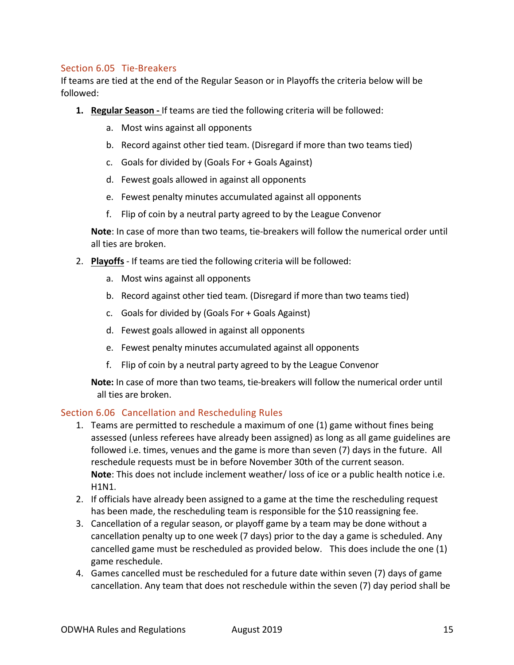#### Section 6.05 Tie-Breakers

If teams are tied at the end of the Regular Season or in Playoffs the criteria below will be followed:

- **1. Regular Season -** If teams are tied the following criteria will be followed:
	- a. Most wins against all opponents
	- b. Record against other tied team. (Disregard if more than two teams tied)
	- c. Goals for divided by (Goals For + Goals Against)
	- d. Fewest goals allowed in against all opponents
	- e. Fewest penalty minutes accumulated against all opponents
	- f. Flip of coin by a neutral party agreed to by the League Convenor

**Note**: In case of more than two teams, tie-breakers will follow the numerical order until all ties are broken.

- 2. **Playoffs** If teams are tied the following criteria will be followed:
	- a. Most wins against all opponents
	- b. Record against other tied team. (Disregard if more than two teams tied)
	- c. Goals for divided by (Goals For + Goals Against)
	- d. Fewest goals allowed in against all opponents
	- e. Fewest penalty minutes accumulated against all opponents
	- f. Flip of coin by a neutral party agreed to by the League Convenor

**Note:** In case of more than two teams, tie-breakers will follow the numerical order until all ties are broken.

#### Section 6.06 Cancellation and Rescheduling Rules

- 1. Teams are permitted to reschedule a maximum of one (1) game without fines being assessed (unless referees have already been assigned) as long as all game guidelines are followed i.e. times, venues and the game is more than seven (7) days in the future. All reschedule requests must be in before November 30th of the current season. **Note**: This does not include inclement weather/ loss of ice or a public health notice i.e. H1N1.
- 2. If officials have already been assigned to a game at the time the rescheduling request has been made, the rescheduling team is responsible for the \$10 reassigning fee.
- 3. Cancellation of a regular season, or playoff game by a team may be done without a cancellation penalty up to one week (7 days) prior to the day a game is scheduled. Any cancelled game must be rescheduled as provided below. This does include the one (1) game reschedule.
- 4. Games cancelled must be rescheduled for a future date within seven (7) days of game cancellation. Any team that does not reschedule within the seven (7) day period shall be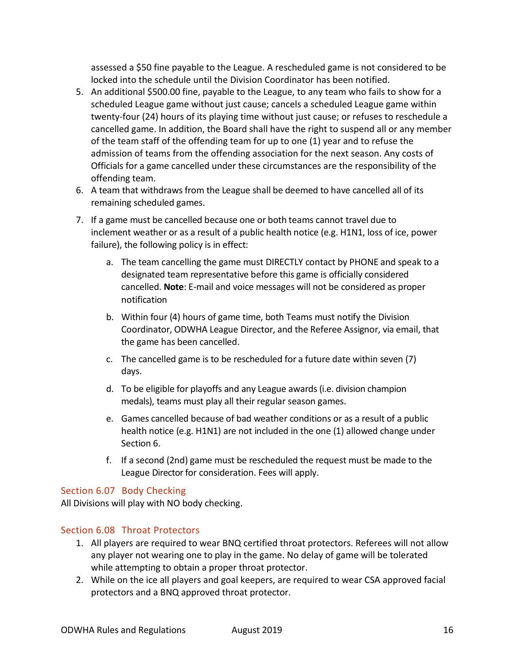assessed a \$50 fine payable to the League. A rescheduled game is not considered to be locked into the schedule until the Division Coordinator has been notified.

- 5. An additional \$500.00 fine, payable to the League, to any team who fails to show for a scheduled League game without just cause; cancels a scheduled League game within twenty-four (24) hours of its playing time without just cause; or refuses to reschedule a cancelled game. In addition, the Board shall have the right to suspend all or any member of the team staff of the offending team for up to one (1) year and to refuse the admission of teams from the offending association for the next season. Any costs of Officials for a game cancelled under these circumstances are the responsibility of the offending team.
- 6. A team that withdraws from the League shall be deemed to have cancelled all of its remaining scheduled games.
- 7. If a game must be cancelled because one or both teams cannot travel due to inclement weather or as a result of a public health notice (e.g. H1N1, loss of ice, power failure), the following policy is in effect:
	- a. The team cancelling the game must DIRECTLY contact by PHONE and speak to a designated team representative before this game is officially considered cancelled. **Note**: E-mail and voice messages will not be considered as proper notification
	- b. Within four (4) hours of game time, both Teams must notify the Division Coordinator, ODWHA League Director, and the Referee Assignor, via email, that the game has been cancelled.
	- c. The cancelled game is to be rescheduled for a future date within seven (7) days.
	- d. To be eligible for playoffs and any League awards (i.e. division champion medals), teams must play all their regular season games.
	- e. Games cancelled because of bad weather conditions or as a result of a public health notice (e.g. H1N1) are not included in the one (1) allowed change under Section 6.
	- f. If a second (2nd) game must be rescheduled the request must be made to the League Director for consideration. Fees will apply.

#### Section 6.07 Body Checking

All Divisions will play with NO body checking.

#### Section 6.08 Throat Protectors

- 1. All players are required to wear BNQ certified throat protectors. Referees will not allow any player not wearing one to play in the game. No delay of game will be tolerated while attempting to obtain a proper throat protector.
- 2. While on the ice all players and goal keepers, are required to wear CSA approved facial protectors and a BNQ approved throat protector.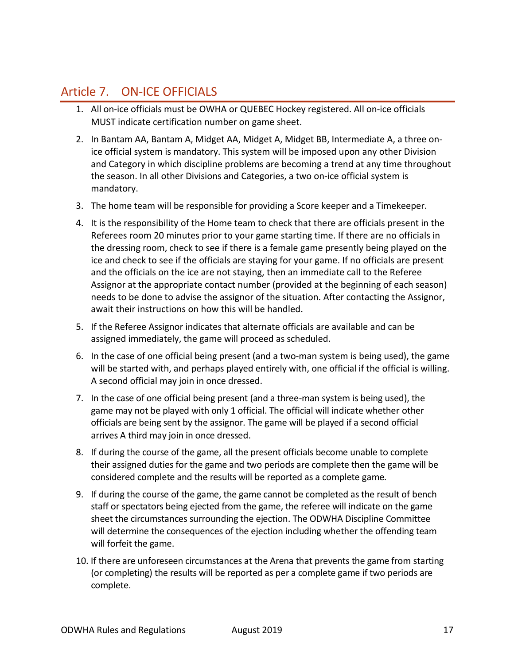## Article 7. ON-ICE OFFICIALS

- 1. All on-ice officials must be OWHA or QUEBEC Hockey registered. All on-ice officials MUST indicate certification number on game sheet.
- 2. In Bantam AA, Bantam A, Midget AA, Midget A, Midget BB, Intermediate A, a three onice official system is mandatory. This system will be imposed upon any other Division and Category in which discipline problems are becoming a trend at any time throughout the season. In all other Divisions and Categories, a two on-ice official system is mandatory.
- 3. The home team will be responsible for providing a Score keeper and a Timekeeper.
- 4. It is the responsibility of the Home team to check that there are officials present in the Referees room 20 minutes prior to your game starting time. If there are no officials in the dressing room, check to see if there is a female game presently being played on the ice and check to see if the officials are staying for your game. If no officials are present and the officials on the ice are not staying, then an immediate call to the Referee Assignor at the appropriate contact number (provided at the beginning of each season) needs to be done to advise the assignor of the situation. After contacting the Assignor, await their instructions on how this will be handled.
- 5. If the Referee Assignor indicates that alternate officials are available and can be assigned immediately, the game will proceed as scheduled.
- 6. In the case of one official being present (and a two-man system is being used), the game will be started with, and perhaps played entirely with, one official if the official is willing. A second official may join in once dressed.
- 7. In the case of one official being present (and a three-man system is being used), the game may not be played with only 1 official. The official will indicate whether other officials are being sent by the assignor. The game will be played if a second official arrives A third may join in once dressed.
- 8. If during the course of the game, all the present officials become unable to complete their assigned duties for the game and two periods are complete then the game will be considered complete and the results will be reported as a complete game.
- 9. If during the course of the game, the game cannot be completed as the result of bench staff or spectators being ejected from the game, the referee will indicate on the game sheet the circumstances surrounding the ejection. The ODWHA Discipline Committee will determine the consequences of the ejection including whether the offending team will forfeit the game.
- 10. If there are unforeseen circumstances at the Arena that prevents the game from starting (or completing) the results will be reported as per a complete game if two periods are complete.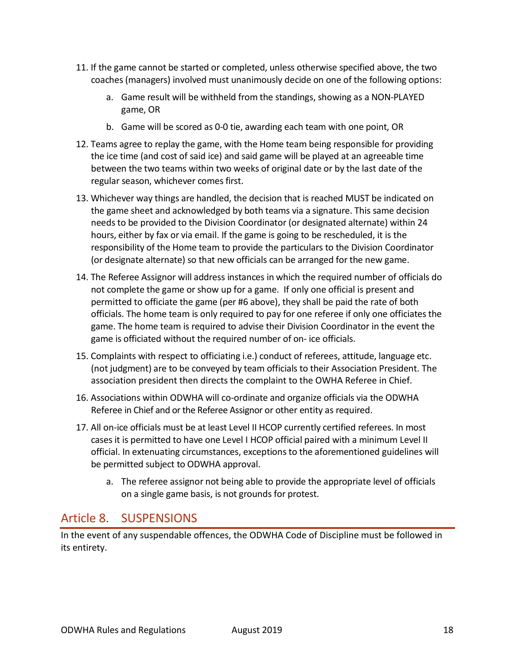- 11. If the game cannot be started or completed, unless otherwise specified above, the two coaches (managers) involved must unanimously decide on one of the following options:
	- a. Game result will be withheld from the standings, showing as a NON-PLAYED game, OR
	- b. Game will be scored as 0-0 tie, awarding each team with one point, OR
- 12. Teams agree to replay the game, with the Home team being responsible for providing the ice time (and cost of said ice) and said game will be played at an agreeable time between the two teams within two weeks of original date or by the last date of the regular season, whichever comes first.
- 13. Whichever way things are handled, the decision that is reached MUST be indicated on the game sheet and acknowledged by both teams via a signature. This same decision needs to be provided to the Division Coordinator (or designated alternate) within 24 hours, either by fax or via email. If the game is going to be rescheduled, it is the responsibility of the Home team to provide the particulars to the Division Coordinator (or designate alternate) so that new officials can be arranged for the new game.
- 14. The Referee Assignor will address instances in which the required number of officials do not complete the game or show up for a game. If only one official is present and permitted to officiate the game (per #6 above), they shall be paid the rate of both officials. The home team is only required to pay for one referee if only one officiates the game. The home team is required to advise their Division Coordinator in the event the game is officiated without the required number of on- ice officials.
- 15. Complaints with respect to officiating i.e.) conduct of referees, attitude, language etc. (not judgment) are to be conveyed by team officials to their Association President. The association president then directs the complaint to the OWHA Referee in Chief.
- 16. Associations within ODWHA will co-ordinate and organize officials via the ODWHA Referee in Chief and or the Referee Assignor or other entity as required.
- 17. All on-ice officials must be at least Level II HCOP currently certified referees. In most cases it is permitted to have one Level I HCOP official paired with a minimum Level II official. In extenuating circumstances, exceptions to the aforementioned guidelines will be permitted subject to ODWHA approval.
	- a. The referee assignor not being able to provide the appropriate level of officials on a single game basis, is not grounds for protest.

## Article 8. SUSPENSIONS

In the event of any suspendable offences, the ODWHA Code of Discipline must be followed in its entirety.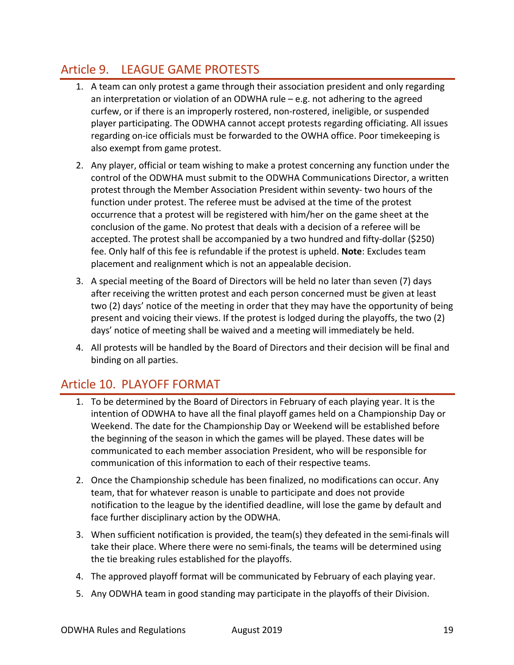# Article 9. LEAGUE GAME PROTESTS

- 1. A team can only protest a game through their association president and only regarding an interpretation or violation of an ODWHA rule – e.g. not adhering to the agreed curfew, or if there is an improperly rostered, non-rostered, ineligible, or suspended player participating. The ODWHA cannot accept protests regarding officiating. All issues regarding on-ice officials must be forwarded to the OWHA office. Poor timekeeping is also exempt from game protest.
- 2. Any player, official or team wishing to make a protest concerning any function under the control of the ODWHA must submit to the ODWHA Communications Director, a written protest through the Member Association President within seventy- two hours of the function under protest. The referee must be advised at the time of the protest occurrence that a protest will be registered with him/her on the game sheet at the conclusion of the game. No protest that deals with a decision of a referee will be accepted. The protest shall be accompanied by a two hundred and fifty-dollar (\$250) fee. Only half of this fee is refundable if the protest is upheld. **Note**: Excludes team placement and realignment which is not an appealable decision.
- 3. A special meeting of the Board of Directors will be held no later than seven (7) days after receiving the written protest and each person concerned must be given at least two (2) days' notice of the meeting in order that they may have the opportunity of being present and voicing their views. If the protest is lodged during the playoffs, the two (2) days' notice of meeting shall be waived and a meeting will immediately be held.
- 4. All protests will be handled by the Board of Directors and their decision will be final and binding on all parties.

## Article 10. PLAYOFF FORMAT

- 1. To be determined by the Board of Directors in February of each playing year. It is the intention of ODWHA to have all the final playoff games held on a Championship Day or Weekend. The date for the Championship Day or Weekend will be established before the beginning of the season in which the games will be played. These dates will be communicated to each member association President, who will be responsible for communication of this information to each of their respective teams.
- 2. Once the Championship schedule has been finalized, no modifications can occur. Any team, that for whatever reason is unable to participate and does not provide notification to the league by the identified deadline, will lose the game by default and face further disciplinary action by the ODWHA.
- 3. When sufficient notification is provided, the team(s) they defeated in the semi-finals will take their place. Where there were no semi-finals, the teams will be determined using the tie breaking rules established for the playoffs.
- 4. The approved playoff format will be communicated by February of each playing year.
- 5. Any ODWHA team in good standing may participate in the playoffs of their Division.